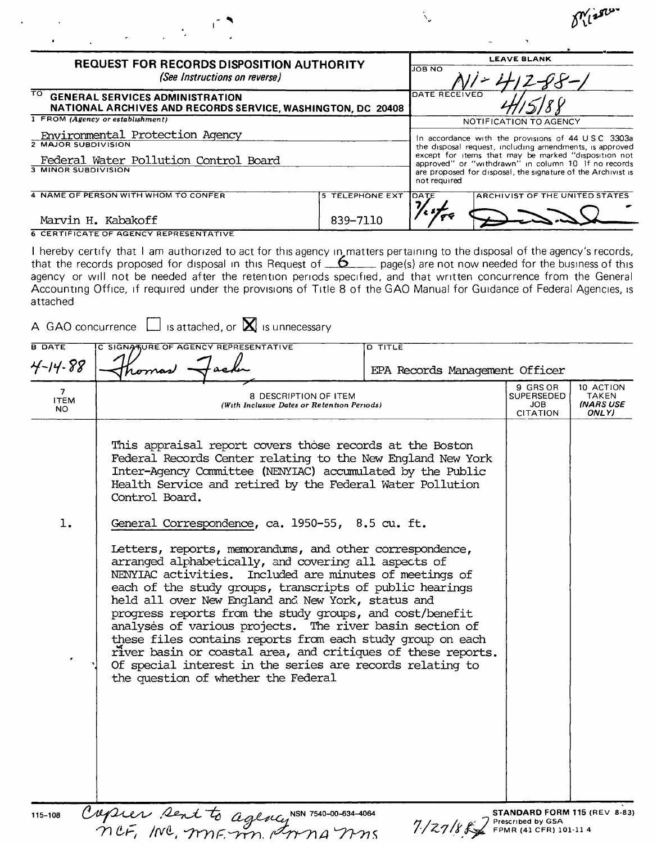| REQUEST FOR RECORDS DISPOSITION AUTHORITY<br>(See Instructions on reverse)                                             |                                    |               | <b>LEAVE BLANK</b>                                                                                                                                                                                                                                                                          |
|------------------------------------------------------------------------------------------------------------------------|------------------------------------|---------------|---------------------------------------------------------------------------------------------------------------------------------------------------------------------------------------------------------------------------------------------------------------------------------------------|
|                                                                                                                        |                                    | <b>JOB NO</b> |                                                                                                                                                                                                                                                                                             |
| TÕ.<br><b>GENERAL SERVICES ADMINISTRATION</b><br>NATIONAL ARCHIVES AND RECORDS SERVICE, WASHINGTON, DC 20408           |                                    | DATE RECEIVED |                                                                                                                                                                                                                                                                                             |
| 1 FROM (Agency or establishment)                                                                                       |                                    |               | NOTIFICATION TO AGENCY                                                                                                                                                                                                                                                                      |
| Environmental Protection Agency<br>2 MAJOR SUBDIVISION<br>Federal Water Pollution Control Board<br>3 MINOR SUBDIVISION |                                    | not required  | In accordance with the provisions of 44 USC 3303a<br>the disposal request, including amendments, is approved<br>except for items that may be marked "disposition not<br>approved" or "withdrawn" in column 10 If no records<br>are proposed for disposal, the signature of the Archivist is |
| 4 NAME OF PERSON WITH WHOM TO CONFER<br>Marvin H. Kabakoff                                                             | <b>5 TELEPHONE EXT</b><br>839-7110 | DATE          | ARCHIVIST OF THE UNITED STATES                                                                                                                                                                                                                                                              |
| 6 CERTIFICATE OF AGENCY REPRESENTATIVE                                                                                 |                                    |               |                                                                                                                                                                                                                                                                                             |

 $\mathbf{I}$ 

 $\delta^{\prime\prime}_{\,\,\iota}$  is  $\iota^{\iota\cdot}$ 

I hereby certify that I am authorized to act for this agency in matters pertaining to the disposal of the agency's records, that the records proposed for disposal in this Request of  $\overline{6}$  page(s) are not now needed for the business of this agency or will not be needed after the retention periods specified, and that written concurrence from the General Accounting Office, if required under the provisions of Title 8 of the GAO Manual for Guidance of Federal Agencies, is attached

| <b>B DATE</b><br>4-14-88            | C SIGNATURE OF AGENCY REPRESENTATIVE<br>comas                                                                                                                                                                                                                                                                                                                                                                                                                                                                                                                                                                                                           | D TITLE<br>EPA Records Management Officer |                                           |                                          |
|-------------------------------------|---------------------------------------------------------------------------------------------------------------------------------------------------------------------------------------------------------------------------------------------------------------------------------------------------------------------------------------------------------------------------------------------------------------------------------------------------------------------------------------------------------------------------------------------------------------------------------------------------------------------------------------------------------|-------------------------------------------|-------------------------------------------|------------------------------------------|
| 7 <sup>1</sup><br><b>ITEM</b><br>NO | 8 DESCRIPTION OF ITEM<br>(With Inclusive Dates or Retention Periods)                                                                                                                                                                                                                                                                                                                                                                                                                                                                                                                                                                                    |                                           | 9 GRS OR<br>SUPERSEDED<br>JOB<br>CITATION | 10 ACTION<br>TAKEN<br>(NARS USE<br>ONLY) |
|                                     | This appraisal report covers those records at the Boston<br>Federal Records Center relating to the New England New York<br>Inter-Agency Committee (NENYIAC) accumulated by the Public<br>Health Service and retired by the Federal Water Pollution<br>Control Board.                                                                                                                                                                                                                                                                                                                                                                                    |                                           |                                           |                                          |
| 1.                                  | General Correspondence, ca. 1950-55, 8.5 cu. ft.                                                                                                                                                                                                                                                                                                                                                                                                                                                                                                                                                                                                        |                                           |                                           |                                          |
|                                     | Letters, reports, memorandums, and other correspondence,<br>arranged alphabetically, and covering all aspects of<br>NENYIAC activities. Included are minutes of meetings of<br>each of the study groups, transcripts of public hearings<br>held all over New England and New York, status and<br>progress reports from the study groups, and cost/benefit<br>analyses of various projects. The river basin section of<br>these files contains reports from each study group on each<br>river basin or coastal area, and critiques of these reports.<br>Of special interest in the series are records relating to<br>the question of whether the Federal |                                           |                                           |                                          |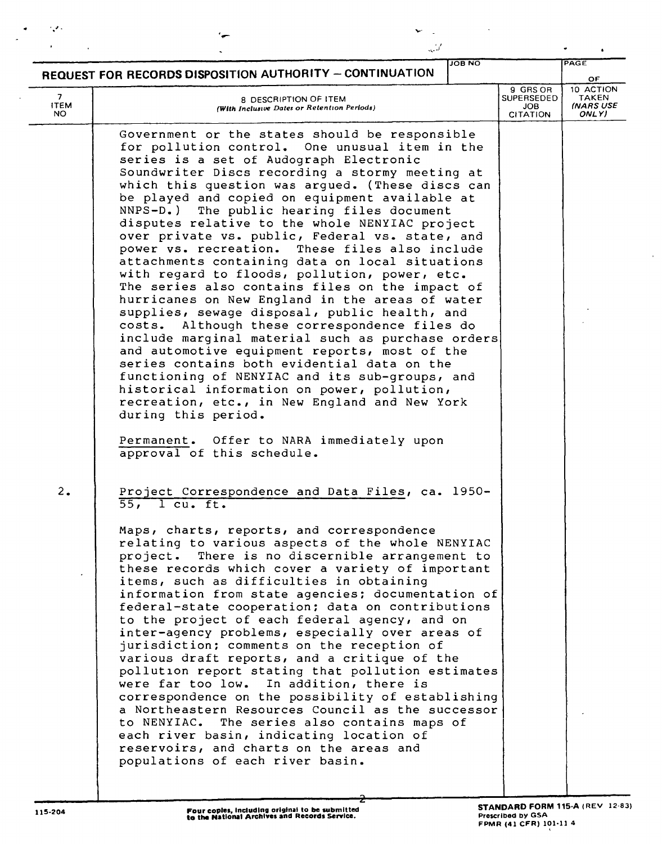|                         | كمذب                                                                                                                                                                                                                                                                                                                                                                                                                                                                                                                                                                                                                                                                                                                                                                                                                                                                                                                                                                                                                                                                                                                                                                                                      |               |                                                   |                                                        |
|-------------------------|-----------------------------------------------------------------------------------------------------------------------------------------------------------------------------------------------------------------------------------------------------------------------------------------------------------------------------------------------------------------------------------------------------------------------------------------------------------------------------------------------------------------------------------------------------------------------------------------------------------------------------------------------------------------------------------------------------------------------------------------------------------------------------------------------------------------------------------------------------------------------------------------------------------------------------------------------------------------------------------------------------------------------------------------------------------------------------------------------------------------------------------------------------------------------------------------------------------|---------------|---------------------------------------------------|--------------------------------------------------------|
|                         | REQUEST FOR RECORDS DISPOSITION AUTHORITY - CONTINUATION                                                                                                                                                                                                                                                                                                                                                                                                                                                                                                                                                                                                                                                                                                                                                                                                                                                                                                                                                                                                                                                                                                                                                  | <b>JOB NO</b> |                                                   | PAGE<br>OF.                                            |
| 7<br><b>ITEM</b><br>NO. | <b>8 DESCRIPTION OF ITEM</b><br>(With Inclusive Dates or Retention Periods)                                                                                                                                                                                                                                                                                                                                                                                                                                                                                                                                                                                                                                                                                                                                                                                                                                                                                                                                                                                                                                                                                                                               |               | 9 GRS OR<br><b>SUPERSEDED</b><br>JOB.<br>CITATION | 10 ACTION<br><b>TAKEN</b><br><b>INARS USE</b><br>ONLY) |
|                         | Government or the states should be responsible<br>for pollution control. One unusual item in the<br>series is a set of Audograph Electronic<br>Soundwriter Discs recording a stormy meeting at<br>which this question was argued. (These discs can<br>be played and copied on equipment available at<br>The public hearing files document<br>$NNPS-D.$ )<br>disputes relative to the whole NENYIAC project<br>over private vs. public, Federal vs. state, and<br>power vs. recreation. These files also include<br>attachments containing data on local situations<br>with regard to floods, pollution, power, etc.<br>The series also contains files on the impact of<br>hurricanes on New England in the areas of water<br>supplies, sewage disposal, public health, and<br>Although these correspondence files do<br>costs.<br>include marginal material such as purchase orders<br>and automotive equipment reports, most of the<br>series contains both evidential data on the<br>functioning of NENYIAC and its sub-groups, and<br>historical information on power, pollution,<br>recreation, etc., in New England and New York<br>during this period.<br>Permanent. Offer to NARA immediately upon |               |                                                   |                                                        |
| 2.                      | approval of this schedule.<br>Project Correspondence and Data Files, ca. 1950-<br>$55$ , l cu. ft.<br>Maps, charts, reports, and correspondence<br>relating to various aspects of the whole NENYIAC<br>project. There is no discernible arrangement to<br>these records which cover a variety of important<br>items, such as difficulties in obtaining<br>information from state agencies; documentation of<br>federal-state cooperation; data on contributions<br>to the project of each federal agency, and on<br>inter-agency problems, especially over areas of<br>jurisdiction; comments on the reception of<br>various draft reports, and a critique of the<br>pollution report stating that pollution estimates<br>were far too low. In addition, there is<br>correspondence on the possibility of establishing<br>a Northeastern Resources Council as the successor<br>to NENYIAC. The series also contains maps of<br>each river basin, indicating location of<br>reservoirs, and charts on the areas and<br>populations of each river basin.                                                                                                                                                    |               |                                                   |                                                        |

t,

 $\mathbf{r}$ 

~

' ..'"

 $\rightarrow$ 

 $\bullet$ 

 $\mathbb{R}^2$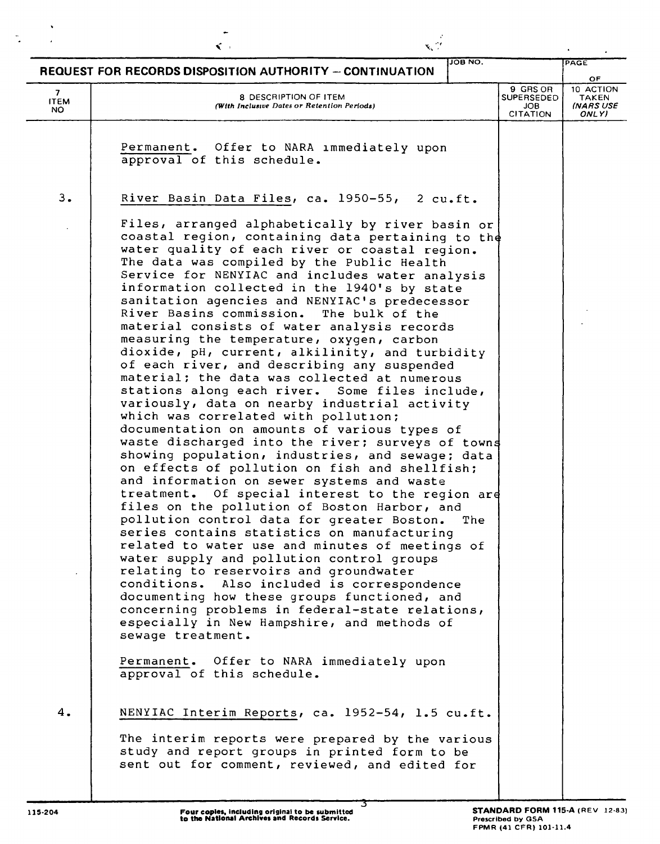|                         | $\leq$                                                                                                                                                                                                                                                                                                                                                                                                                                                                                                                                                                                                                                                                                                                                                                                                                                             | $\mathbf{x}_k$ $\mathbb{C}^{\prime}$ |                                                         |                                                |
|-------------------------|----------------------------------------------------------------------------------------------------------------------------------------------------------------------------------------------------------------------------------------------------------------------------------------------------------------------------------------------------------------------------------------------------------------------------------------------------------------------------------------------------------------------------------------------------------------------------------------------------------------------------------------------------------------------------------------------------------------------------------------------------------------------------------------------------------------------------------------------------|--------------------------------------|---------------------------------------------------------|------------------------------------------------|
|                         | REQUEST FOR RECORDS DISPOSITION AUTHORITY - CONTINUATION                                                                                                                                                                                                                                                                                                                                                                                                                                                                                                                                                                                                                                                                                                                                                                                           | <b>JOB NO.</b>                       |                                                         | PAGE                                           |
| 7<br><b>ITEM</b><br>NO. | 8 DESCRIPTION OF ITEM<br>(With Inclusive Dates or Retention Periods)                                                                                                                                                                                                                                                                                                                                                                                                                                                                                                                                                                                                                                                                                                                                                                               |                                      | 9 GRS OR<br>SUPERSEDED<br><b>JOB</b><br><b>CITATION</b> | OF<br>10 ACTION<br>TAKEN<br>(NARS USE<br>ONLY) |
|                         | Permanent. Offer to NARA immediately upon<br>approval of this schedule.                                                                                                                                                                                                                                                                                                                                                                                                                                                                                                                                                                                                                                                                                                                                                                            |                                      |                                                         |                                                |
| 3.                      | River Basin Data Files, ca. 1950-55, 2 cu.ft.<br>Files, arranged alphabetically by river basin or<br>coastal region, containing data pertaining to the<br>water quality of each river or coastal region.<br>The data was compiled by the Public Health<br>Service for NENYIAC and includes water analysis<br>information collected in the 1940's by state<br>sanitation agencies and NENYIAC's predecessor<br>River Basins commission.<br>The bulk of the<br>material consists of water analysis records<br>measuring the temperature, oxygen, carbon<br>dioxide, pH, current, alkilinity, and turbidity<br>of each river, and describing any suspended<br>material; the data was collected at numerous<br>stations along each river. Some files include,<br>variously, data on nearby industrial activity<br>which was correlated with pollution; |                                      |                                                         |                                                |
|                         | documentation on amounts of various types of<br>waste discharged into the river; surveys of towns<br>showing population, industries, and sewage; data<br>on effects of pollution on fish and shellfish;<br>and information on sewer systems and waste<br>treatment. Of special interest to the region are<br>files on the pollution of Boston Harbor, and<br>pollution control data for greater Boston. The<br>series contains statistics on manufacturing<br>related to water use and minutes of meetings of<br>water supply and pollution control groups<br>relating to reservoirs and groundwater<br>conditions. Also included is correspondence<br>documenting how these groups functioned, and<br>concerning problems in federal-state relations,<br>especially in New Hampshire, and methods of<br>sewage treatment.                         |                                      |                                                         |                                                |
|                         | Permanent. Offer to NARA immediately upon<br>approval of this schedule.                                                                                                                                                                                                                                                                                                                                                                                                                                                                                                                                                                                                                                                                                                                                                                            |                                      |                                                         |                                                |
| 4.                      | NENYIAC Interim Reports, ca. 1952-54, 1.5 cu.ft.<br>The interim reports were prepared by the various<br>study and report groups in printed form to be<br>sent out for comment, reviewed, and edited for                                                                                                                                                                                                                                                                                                                                                                                                                                                                                                                                                                                                                                            |                                      |                                                         |                                                |

 $\hat{\mathbf{v}}$ 

 $\ddot{\phantom{0}}$ 

 $\overline{\phantom{a}}$ 

 $\frac{1}{\sqrt{2}}$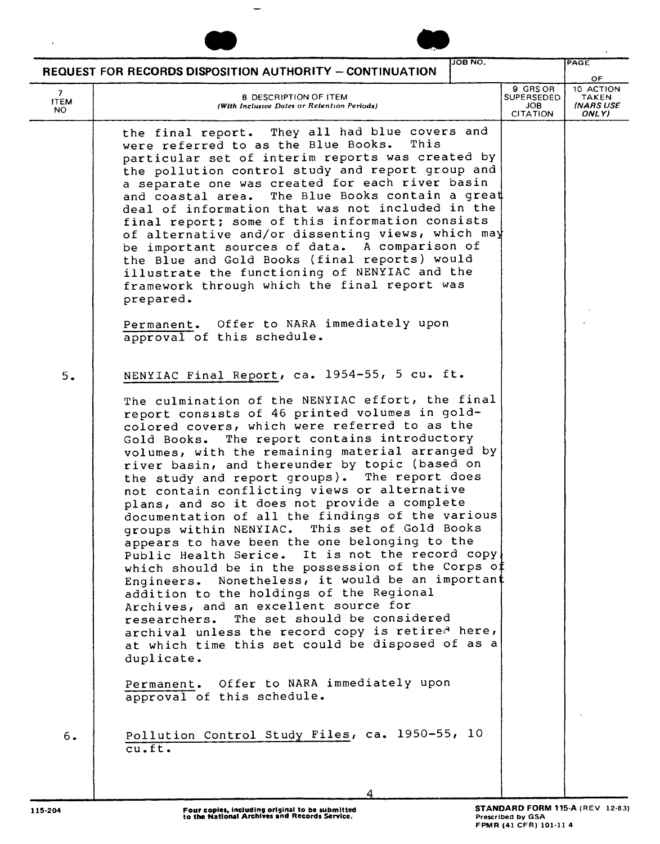|                                   | <b>REQUEST FOR RECORDS DISPOSITION AUTHORITY - CONTINUATION</b>                                                                                                                                                                                                                                                                                                                                                                                                                                                                                                                                                                                                                                                                                                                                                                                                                                                                                                                                                                                                                                                                                                       | <b>JOB NO.</b> |                                                                | PAGE                                           |
|-----------------------------------|-----------------------------------------------------------------------------------------------------------------------------------------------------------------------------------------------------------------------------------------------------------------------------------------------------------------------------------------------------------------------------------------------------------------------------------------------------------------------------------------------------------------------------------------------------------------------------------------------------------------------------------------------------------------------------------------------------------------------------------------------------------------------------------------------------------------------------------------------------------------------------------------------------------------------------------------------------------------------------------------------------------------------------------------------------------------------------------------------------------------------------------------------------------------------|----------------|----------------------------------------------------------------|------------------------------------------------|
| $7^{\circ}$<br><b>ITEM</b><br>NO. | <b>8 DESCRIPTION OF ITEM</b><br>(With Inclusive Dates or Retention Periods)                                                                                                                                                                                                                                                                                                                                                                                                                                                                                                                                                                                                                                                                                                                                                                                                                                                                                                                                                                                                                                                                                           |                | 9 GRS OR<br><b>SUPERSEDED</b><br><b>JOB</b><br><b>CITATION</b> | OF<br>10 ACTION<br>TAKEN<br>(NARS USE<br>ONLY) |
|                                   | the final report. They all had blue covers and<br>were referred to as the Blue Books.<br>This<br>particular set of interim reports was created by<br>the pollution control study and report group and<br>a separate one was created for each river basin<br>The Blue Books contain a great<br>and coastal area.<br>deal of information that was not included in the<br>final report; some of this information consists<br>of alternative and/or dissenting views, which may<br>be important sources of data. A comparison of<br>the Blue and Gold Books (final reports) would<br>illustrate the functioning of NENYIAC and the<br>framework through which the final report was<br>prepared.<br>Permanent. Offer to NARA immediately upon<br>approval of this schedule.                                                                                                                                                                                                                                                                                                                                                                                                |                |                                                                |                                                |
| 5.                                | NENYIAC Final Report, ca. 1954-55, 5 cu. ft.<br>The culmination of the NENYIAC effort, the final<br>report consists of 46 printed volumes in gold-<br>colored covers, which were referred to as the<br>The report contains introductory<br>Gold Books.<br>volumes, with the remaining material arranged by<br>river basin, and thereunder by topic (based on<br>the study and report groups). The report does<br>not contain conflicting views or alternative<br>plans, and so it does not provide a complete<br>documentation of all the findings of the various<br>groups within NENYIAC. This set of Gold Books<br>appears to have been the one belonging to the<br>Public Health Serice. It is not the record copy<br>which should be in the possession of the Corps of<br>Engineers. Nonetheless, it would be an important<br>addition to the holdings of the Regional<br>Archives, and an excellent source for<br>The set should be considered<br>researchers.<br>archival unless the record copy is retired here,<br>at which time this set could be disposed of as a<br>duplicate.<br>Permanent. Offer to NARA immediately upon<br>approval of this schedule. |                |                                                                |                                                |
| 6.                                | Pollution Control Study Files, ca. 1950-55, 10<br>$cu$ .ft.                                                                                                                                                                                                                                                                                                                                                                                                                                                                                                                                                                                                                                                                                                                                                                                                                                                                                                                                                                                                                                                                                                           |                |                                                                |                                                |
|                                   |                                                                                                                                                                                                                                                                                                                                                                                                                                                                                                                                                                                                                                                                                                                                                                                                                                                                                                                                                                                                                                                                                                                                                                       |                |                                                                |                                                |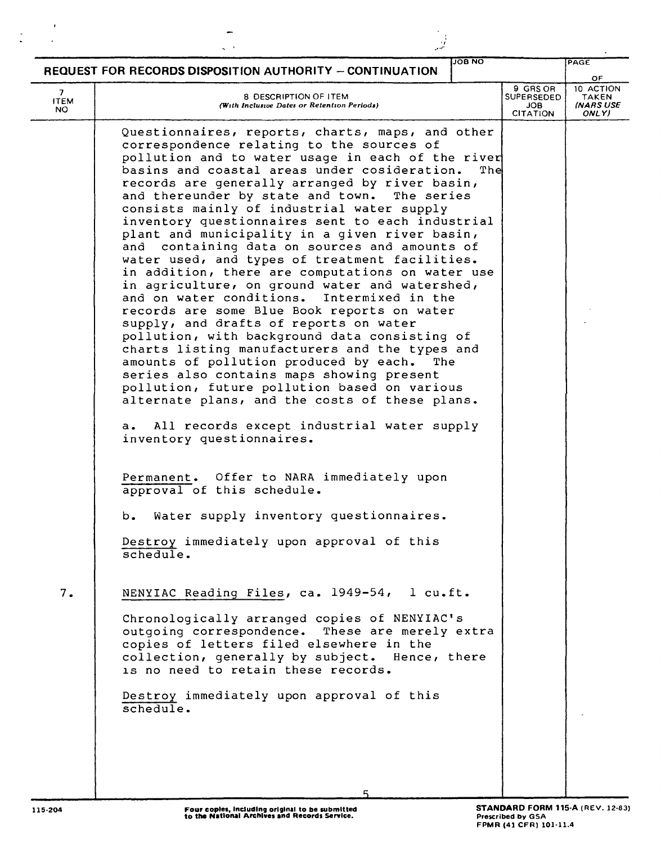|                         | <b>REQUEST FOR RECORDS DISPOSITION AUTHORITY - CONTINUATION</b>                                                                                                                                                                                                                                                                                                                                                                                                                                                                                                                                                                                                                                                                                                                                                                                                                                                                                                                                                                                                                                                                                                                                       | <b>JOB NO</b>                                                  | PAGE<br>OF                                      |
|-------------------------|-------------------------------------------------------------------------------------------------------------------------------------------------------------------------------------------------------------------------------------------------------------------------------------------------------------------------------------------------------------------------------------------------------------------------------------------------------------------------------------------------------------------------------------------------------------------------------------------------------------------------------------------------------------------------------------------------------------------------------------------------------------------------------------------------------------------------------------------------------------------------------------------------------------------------------------------------------------------------------------------------------------------------------------------------------------------------------------------------------------------------------------------------------------------------------------------------------|----------------------------------------------------------------|-------------------------------------------------|
| 7<br><b>ITEM</b><br>NO. | <b>8 DESCRIPTION OF ITEM</b><br>(With Inclusive Dates or Retention Periods)                                                                                                                                                                                                                                                                                                                                                                                                                                                                                                                                                                                                                                                                                                                                                                                                                                                                                                                                                                                                                                                                                                                           | 9 GRS OR<br><b>SUPERSEDED</b><br><b>JOB</b><br><b>CITATION</b> | 10 ACTION<br><b>TAKEN</b><br>INARS USE<br>ONLY) |
|                         | Questionnaires, reports, charts, maps, and other<br>correspondence relating to the sources of<br>pollution and to water usage in each of the river<br>basins and coastal areas under cosideration.<br>records are generally arranged by river basin,<br>and thereunder by state and town.<br>The series<br>consists mainly of industrial water supply<br>inventory questionnaires sent to each industrial<br>plant and municipality in a given river basin,<br>containing data on sources and amounts of<br>and<br>water used, and types of treatment facilities.<br>in addition, there are computations on water use<br>in agriculture, on ground water and watershed,<br>and on water conditions.<br>Intermixed in the<br>records are some Blue Book reports on water<br>supply, and drafts of reports on water<br>pollution, with background data consisting of<br>charts listing manufacturers and the types and<br>amounts of pollution produced by each.<br>The<br>series also contains maps showing present<br>pollution, future pollution based on various<br>alternate plans, and the costs of these plans.<br>All records except industrial water supply<br>a.<br>inventory questionnaires. | The                                                            |                                                 |
|                         | Permanent. Offer to NARA immediately upon<br>approval of this schedule.<br>Water supply inventory questionnaires.<br>b.<br>Destroy immediately upon approval of this<br>schedule.                                                                                                                                                                                                                                                                                                                                                                                                                                                                                                                                                                                                                                                                                                                                                                                                                                                                                                                                                                                                                     |                                                                |                                                 |
| 7.                      | NENYIAC Reading Files, ca. 1949-54, l cu.ft.<br>Chronologically arranged copies of NENYIAC's<br>outgoing correspondence. These are merely extra<br>copies of letters filed elsewhere in the<br>collection, generally by subject. Hence, there<br>is no need to retain these records.<br>Destroy immediately upon approval of this                                                                                                                                                                                                                                                                                                                                                                                                                                                                                                                                                                                                                                                                                                                                                                                                                                                                     |                                                                |                                                 |
|                         | schedule.                                                                                                                                                                                                                                                                                                                                                                                                                                                                                                                                                                                                                                                                                                                                                                                                                                                                                                                                                                                                                                                                                                                                                                                             |                                                                |                                                 |

 $\sim$ 

 $\label{eq:2} \frac{1}{\sqrt{2}}\left(\frac{1}{\sqrt{2}}\right)^{1/2}$